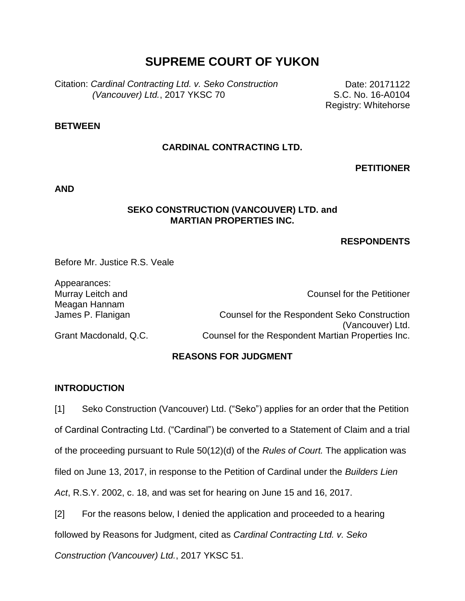# **SUPREME COURT OF YUKON**

Citation: *Cardinal Contracting Ltd. v. Seko Construction (Vancouver) Ltd.*, 2017 YKSC 70

Date: 20171122 S.C. No. 16-A0104 Registry: Whitehorse

#### **BETWEEN**

### **CARDINAL CONTRACTING LTD.**

**PETITIONER**

**AND**

#### **SEKO CONSTRUCTION (VANCOUVER) LTD. and MARTIAN PROPERTIES INC.**

#### **RESPONDENTS**

Before Mr. Justice R.S. Veale

Appearances: Murray Leitch and Meagan Hannam

Counsel for the Petitioner

James P. Flanigan Counsel for the Respondent Seko Construction (Vancouver) Ltd. Grant Macdonald, Q.C. Counsel for the Respondent Martian Properties Inc.

## **REASONS FOR JUDGMENT**

#### **INTRODUCTION**

[1] Seko Construction (Vancouver) Ltd. ("Seko") applies for an order that the Petition of Cardinal Contracting Ltd. ("Cardinal") be converted to a Statement of Claim and a trial of the proceeding pursuant to Rule 50(12)(d) of the *Rules of Court.* The application was filed on June 13, 2017, in response to the Petition of Cardinal under the *Builders Lien Act*, R.S.Y. 2002, c. 18, and was set for hearing on June 15 and 16, 2017.

[2] For the reasons below, I denied the application and proceeded to a hearing followed by Reasons for Judgment, cited as *Cardinal Contracting Ltd. v. Seko* 

*Construction (Vancouver) Ltd.*, 2017 YKSC 51.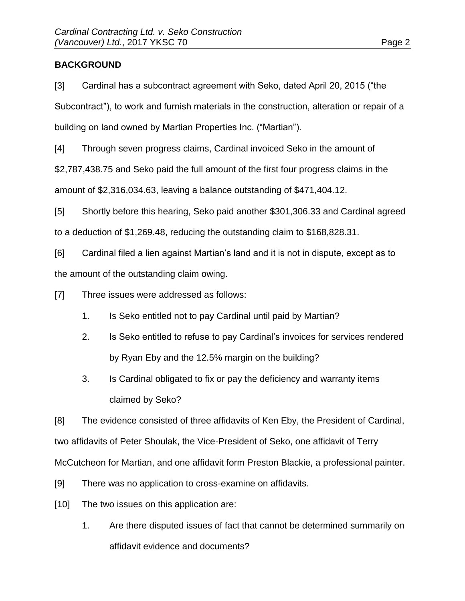## **BACKGROUND**

[3] Cardinal has a subcontract agreement with Seko, dated April 20, 2015 ("the Subcontract"), to work and furnish materials in the construction, alteration or repair of a building on land owned by Martian Properties Inc. ("Martian").

[4] Through seven progress claims, Cardinal invoiced Seko in the amount of

\$2,787,438.75 and Seko paid the full amount of the first four progress claims in the

amount of \$2,316,034.63, leaving a balance outstanding of \$471,404.12.

[5] Shortly before this hearing, Seko paid another \$301,306.33 and Cardinal agreed to a deduction of \$1,269.48, reducing the outstanding claim to \$168,828.31.

[6] Cardinal filed a lien against Martian's land and it is not in dispute, except as to the amount of the outstanding claim owing.

[7] Three issues were addressed as follows:

- 1. Is Seko entitled not to pay Cardinal until paid by Martian?
- 2. Is Seko entitled to refuse to pay Cardinal's invoices for services rendered by Ryan Eby and the 12.5% margin on the building?
- 3. Is Cardinal obligated to fix or pay the deficiency and warranty items claimed by Seko?

[8] The evidence consisted of three affidavits of Ken Eby, the President of Cardinal, two affidavits of Peter Shoulak, the Vice-President of Seko, one affidavit of Terry McCutcheon for Martian, and one affidavit form Preston Blackie, a professional painter.

- [9] There was no application to cross-examine on affidavits.
- [10] The two issues on this application are:
	- 1. Are there disputed issues of fact that cannot be determined summarily on affidavit evidence and documents?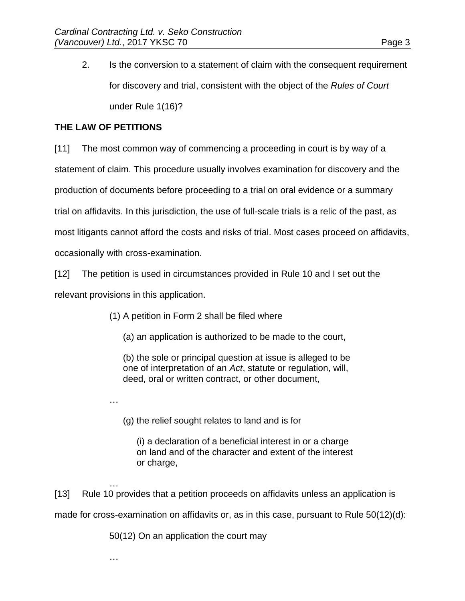2. Is the conversion to a statement of claim with the consequent requirement for discovery and trial, consistent with the object of the *Rules of Court* under Rule 1(16)?

## **THE LAW OF PETITIONS**

…

…

[11] The most common way of commencing a proceeding in court is by way of a statement of claim. This procedure usually involves examination for discovery and the production of documents before proceeding to a trial on oral evidence or a summary trial on affidavits. In this jurisdiction, the use of full-scale trials is a relic of the past, as most litigants cannot afford the costs and risks of trial. Most cases proceed on affidavits, occasionally with cross-examination.

[12] The petition is used in circumstances provided in Rule 10 and I set out the relevant provisions in this application.

(1) A petition in Form 2 shall be filed where

(a) an application is authorized to be made to the court,

(b) the sole or principal question at issue is alleged to be one of interpretation of an *Act*, statute or regulation, will, deed, oral or written contract, or other document,

(g) the relief sought relates to land and is for

(i) a declaration of a beneficial interest in or a charge on land and of the character and extent of the interest or charge,

… [13] Rule 10 provides that a petition proceeds on affidavits unless an application is made for cross-examination on affidavits or, as in this case, pursuant to Rule 50(12)(d):

50(12) On an application the court may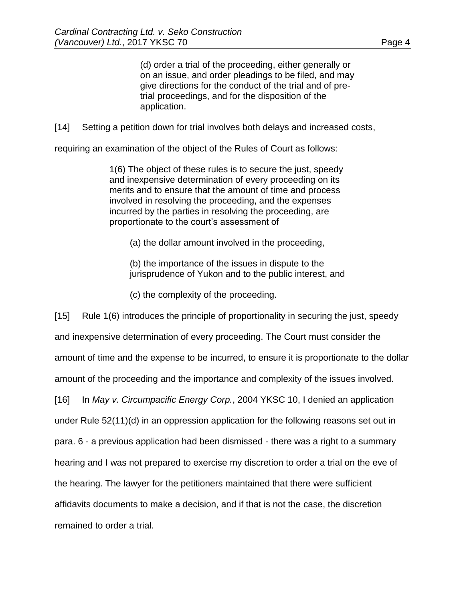(d) order a trial of the proceeding, either generally or on an issue, and order pleadings to be filed, and may give directions for the conduct of the trial and of pretrial proceedings, and for the disposition of the application.

[14] Setting a petition down for trial involves both delays and increased costs,

requiring an examination of the object of the Rules of Court as follows:

1(6) The object of these rules is to secure the just, speedy and inexpensive determination of every proceeding on its merits and to ensure that the amount of time and process involved in resolving the proceeding, and the expenses incurred by the parties in resolving the proceeding, are proportionate to the court's assessment of

(a) the dollar amount involved in the proceeding,

(b) the importance of the issues in dispute to the jurisprudence of Yukon and to the public interest, and

(c) the complexity of the proceeding.

[15] Rule 1(6) introduces the principle of proportionality in securing the just, speedy and inexpensive determination of every proceeding. The Court must consider the amount of time and the expense to be incurred, to ensure it is proportionate to the dollar amount of the proceeding and the importance and complexity of the issues involved. [16] In *May v. Circumpacific Energy Corp.*, 2004 YKSC 10, I denied an application under Rule 52(11)(d) in an oppression application for the following reasons set out in para. 6 - a previous application had been dismissed - there was a right to a summary hearing and I was not prepared to exercise my discretion to order a trial on the eve of the hearing. The lawyer for the petitioners maintained that there were sufficient affidavits documents to make a decision, and if that is not the case, the discretion remained to order a trial.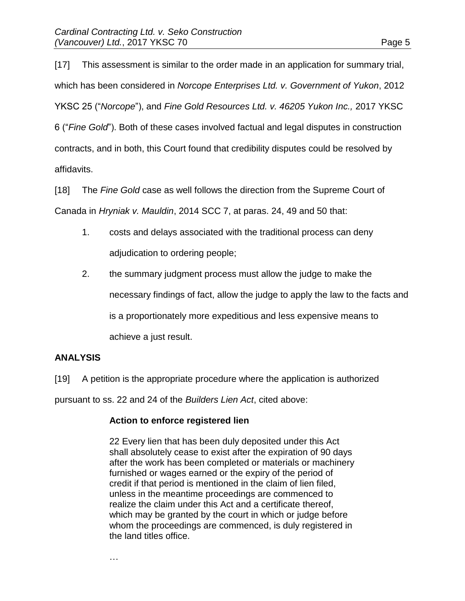[17] This assessment is similar to the order made in an application for summary trial, which has been considered in *Norcope Enterprises Ltd. v. Government of Yukon*, 2012 YKSC 25 ("*Norcope*"), and *Fine Gold Resources Ltd. v. 46205 Yukon Inc.,* 2017 YKSC 6 ("*Fine Gold*"). Both of these cases involved factual and legal disputes in construction contracts, and in both, this Court found that credibility disputes could be resolved by affidavits.

[18] The *Fine Gold* case as well follows the direction from the Supreme Court of Canada in *Hryniak v. Mauldin*, 2014 SCC 7, at paras. 24, 49 and 50 that:

- 1. costs and delays associated with the traditional process can deny adjudication to ordering people;
- 2. the summary judgment process must allow the judge to make the necessary findings of fact, allow the judge to apply the law to the facts and is a proportionately more expeditious and less expensive means to achieve a just result.

## **ANALYSIS**

[19] A petition is the appropriate procedure where the application is authorized

pursuant to ss. 22 and 24 of the *Builders Lien Act*, cited above:

## **Action to enforce registered lien**

22 Every lien that has been duly deposited under this Act shall absolutely cease to exist after the expiration of 90 days after the work has been completed or materials or machinery furnished or wages earned or the expiry of the period of credit if that period is mentioned in the claim of lien filed, unless in the meantime proceedings are commenced to realize the claim under this Act and a certificate thereof, which may be granted by the court in which or judge before whom the proceedings are commenced, is duly registered in the land titles office.

…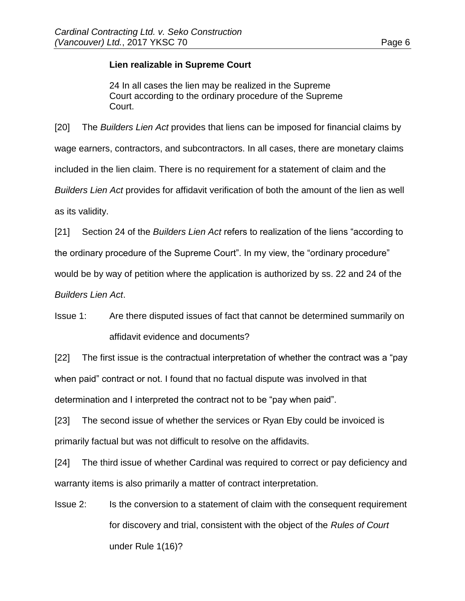## **Lien realizable in Supreme Court**

24 In all cases the lien may be realized in the Supreme Court according to the ordinary procedure of the Supreme Court.

[20] The *Builders Lien Act* provides that liens can be imposed for financial claims by wage earners, contractors, and subcontractors. In all cases, there are monetary claims included in the lien claim. There is no requirement for a statement of claim and the *Builders Lien Act* provides for affidavit verification of both the amount of the lien as well as its validity.

[21] Section 24 of the *Builders Lien Act* refers to realization of the liens "according to the ordinary procedure of the Supreme Court". In my view, the "ordinary procedure" would be by way of petition where the application is authorized by ss. 22 and 24 of the *Builders Lien Act*.

Issue 1: Are there disputed issues of fact that cannot be determined summarily on affidavit evidence and documents?

[22] The first issue is the contractual interpretation of whether the contract was a "pay when paid" contract or not. I found that no factual dispute was involved in that determination and I interpreted the contract not to be "pay when paid".

[23] The second issue of whether the services or Ryan Eby could be invoiced is primarily factual but was not difficult to resolve on the affidavits.

[24] The third issue of whether Cardinal was required to correct or pay deficiency and warranty items is also primarily a matter of contract interpretation.

Issue 2: Is the conversion to a statement of claim with the consequent requirement for discovery and trial, consistent with the object of the *Rules of Court* under Rule 1(16)?